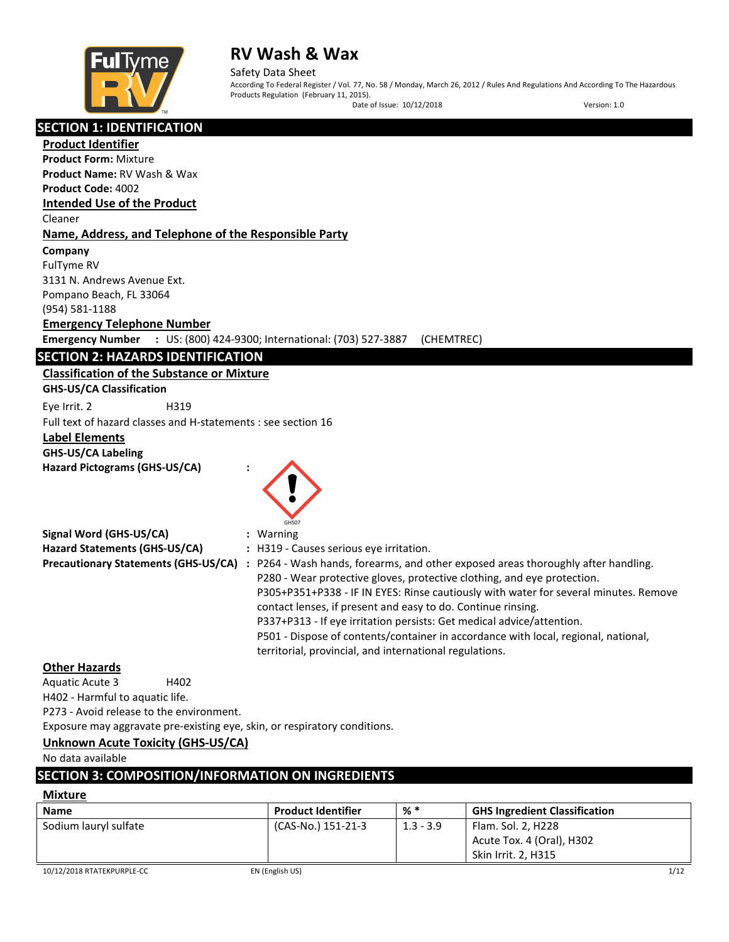

 Safety Data Sheet According To Federal Register / Vol. 77, No. 58 / Monday, March 26, 2012 / Rules And Regulations And According To The Hazardous Products Regulation (February 11, 2015).

Date of Issue: 10/12/2018 Version: 1.0

|  | <b>SECTION 1: IDENTIFICATION</b> |  |
|--|----------------------------------|--|
|  |                                  |  |
|  |                                  |  |

 **Product Form:** Mixture **Product Name:** RV Wash & Wax  **Product Code:** 4002  **Intended Use of the Product Product Identifier**  Cleaner

### **Name, Address, and Telephone of the Responsible Party**

 **Company** 

FulTyme RV

3131 N. Andrews Avenue Ext.

 
Pompano Beach, FL 33064 (954) 581-1188 (954) 581-1188

### **Emergency Telephone Number**

**Emergency Number Emergency Number :** US: (800) 424-9300; International: (703) 527-3887 (CHEMTREC)

### **SECTION 2: HAZARDS IDENTIFICATION**

### **Classification of the Substance or Mixture**

Eye Irrit. 2 H319 **GHS-US/CA Classification** 

Full text of hazard classes and H-statements : see section 16

### **Label Elements**

 **GHS-US/CA Labeling Hazard Pictograms (GHS-US/CA) :** 



### **Other Hazards**

 Aquatic Acute 3 H402 H402 - Harmful to aquatic life.

P273 - Avoid release to the environment.

Exposure may aggravate pre-existing eye, skin, or respiratory conditions.

### **Unknown Acute Toxicity (GHS-US/CA)**

### No data available

### **SECTION 3: COMPOSITION/INFORMATION ON INGREDIENTS**

### **Mixture**

| <b>Name</b>           | <b>Product Identifier</b> | % *         | <b>GHS Ingredient Classification</b>                                   |
|-----------------------|---------------------------|-------------|------------------------------------------------------------------------|
| Sodium lauryl sulfate | (CAS-No.) 151-21-3        | $1.3 - 3.9$ | Flam. Sol. 2, H228<br>Acute Tox. 4 (Oral), H302<br>Skin Irrit. 2, H315 |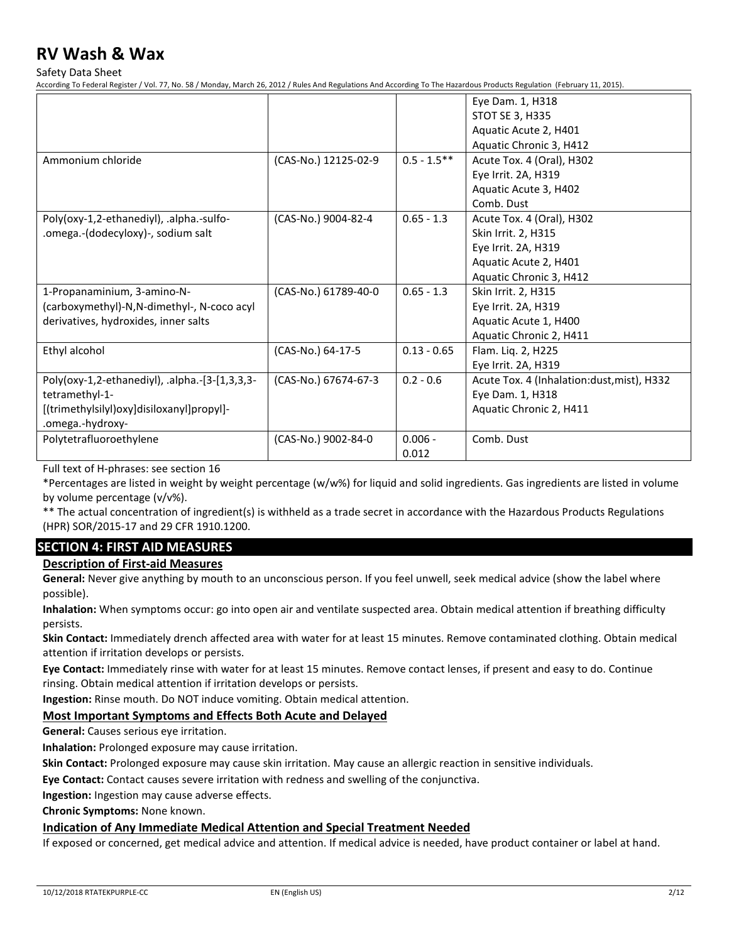Safety Data Sheet

According To Federal Register / Vol. 77, No. 58 / Monday, March 26, 2012 / Rules And Regulations And According To The Hazardous Products Regulation (February 11, 2015).

|                                                |                      |               | Eye Dam. 1, H318                           |
|------------------------------------------------|----------------------|---------------|--------------------------------------------|
|                                                |                      |               | <b>STOT SE 3, H335</b>                     |
|                                                |                      |               | Aquatic Acute 2, H401                      |
|                                                |                      |               | Aquatic Chronic 3, H412                    |
| Ammonium chloride                              | (CAS-No.) 12125-02-9 | $0.5 - 1.5**$ | Acute Tox. 4 (Oral), H302                  |
|                                                |                      |               | Eye Irrit. 2A, H319                        |
|                                                |                      |               | Aquatic Acute 3, H402                      |
|                                                |                      |               | Comb. Dust                                 |
| Poly(oxy-1,2-ethanediyl), .alpha.-sulfo-       | (CAS-No.) 9004-82-4  | $0.65 - 1.3$  | Acute Tox. 4 (Oral), H302                  |
| .omega.-(dodecyloxy)-, sodium salt             |                      |               | Skin Irrit. 2, H315                        |
|                                                |                      |               | Eye Irrit. 2A, H319                        |
|                                                |                      |               | Aquatic Acute 2, H401                      |
|                                                |                      |               | Aquatic Chronic 3, H412                    |
| 1-Propanaminium, 3-amino-N-                    | (CAS-No.) 61789-40-0 | $0.65 - 1.3$  | Skin Irrit. 2, H315                        |
| (carboxymethyl)-N,N-dimethyl-, N-coco acyl     |                      |               | Eye Irrit. 2A, H319                        |
| derivatives, hydroxides, inner salts           |                      |               | Aquatic Acute 1, H400                      |
|                                                |                      |               | Aquatic Chronic 2, H411                    |
| Ethyl alcohol                                  | (CAS-No.) 64-17-5    | $0.13 - 0.65$ | Flam. Liq. 2, H225                         |
|                                                |                      |               | Eye Irrit. 2A, H319                        |
| Poly(oxy-1,2-ethanediyl), .alpha.-[3-[1,3,3,3- | (CAS-No.) 67674-67-3 | $0.2 - 0.6$   | Acute Tox. 4 (Inhalation:dust, mist), H332 |
| tetramethyl-1-                                 |                      |               | Eye Dam. 1, H318                           |
| [(trimethylsilyl)oxy]disiloxanyl]propyl]-      |                      |               | Aquatic Chronic 2, H411                    |
| .omega.-hydroxy-                               |                      |               |                                            |
| Polytetrafluoroethylene                        | (CAS-No.) 9002-84-0  | $0.006 -$     | Comb. Dust                                 |
|                                                |                      | 0.012         |                                            |

Full text of H-phrases: see section 16

 \*Percentages are listed in weight by weight percentage (w/w%) for liquid and solid ingredients. Gas ingredients are listed in volume by volume percentage (v/v%).

 \*\* The actual concentration of ingredient(s) is withheld as a trade secret in accordance with the Hazardous Products Regulations (HPR) SOR/2015-17 and 29 CFR 1910.1200.

### **SECTION 4: FIRST AID MEASURES**

### **Description of First-aid Measures**

 **General:** Never give anything by mouth to an unconscious person. If you feel unwell, seek medical advice (show the label where possible).

 **Inhalation:** When symptoms occur: go into open air and ventilate suspected area. Obtain medical attention if breathing difficulty persists.

 **Skin Contact:** Immediately drench affected area with water for at least 15 minutes. Remove contaminated clothing. Obtain medical attention if irritation develops or persists.

 **Eye Contact:** Immediately rinse with water for at least 15 minutes. Remove contact lenses, if present and easy to do. Continue rinsing. Obtain medical attention if irritation develops or persists.

**Ingestion:** Rinse mouth. Do NOT induce vomiting. Obtain medical attention.

### **Most Important Symptoms and Effects Both Acute and Delayed**

**General:** Causes serious eye irritation.

**Inhalation:** Prolonged exposure may cause irritation.

**Skin Contact:** Prolonged exposure may cause skin irritation. May cause an allergic reaction in sensitive individuals.

**Eye Contact:** Contact causes severe irritation with redness and swelling of the conjunctiva.

**Ingestion:** Ingestion may cause adverse effects.

**Chronic Symptoms:** None known.

### **Indication of Any Immediate Medical Attention and Special Treatment Needed**

If exposed or concerned, get medical advice and attention. If medical advice is needed, have product container or label at hand.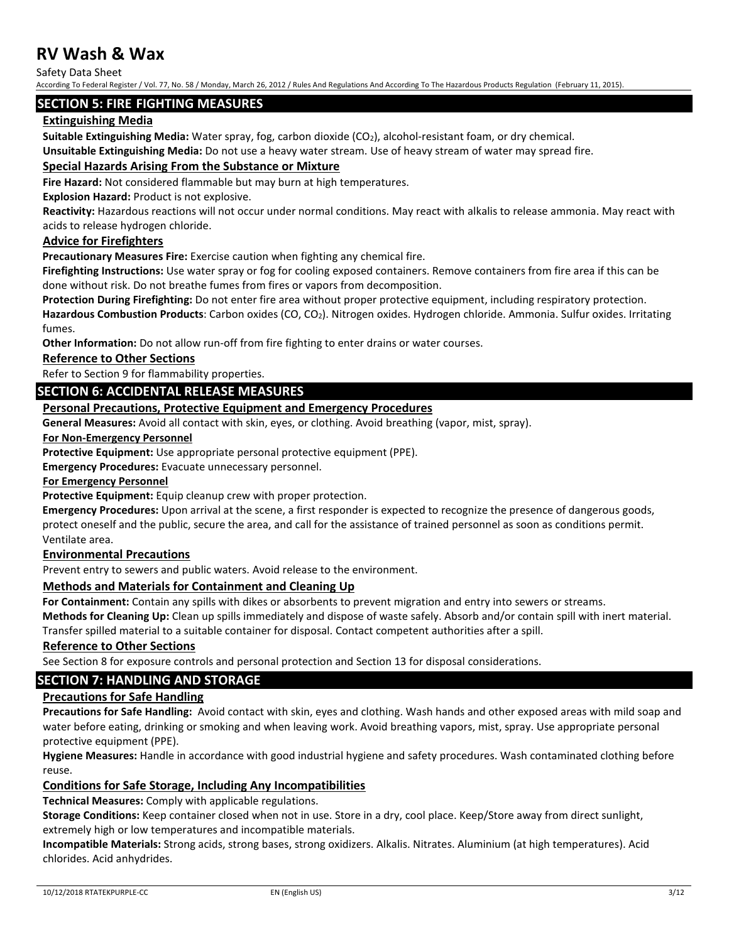Safety Data Sheet

According To Federal Register / Vol. 77, No. 58 / Monday, March 26, 2012 / Rules And Regulations And According To The Hazardous Products Regulation (February 11, 2015).

### **- SECTION 5: FIRE FIGHTING MEASURES**

### **Extinguishing Media**

**Suitable Extinguishing Media:** Water spray, fog, carbon dioxide (CO2), alcohol-resistant foam, or dry chemical.

**Unsuitable Extinguishing Media:** Do not use a heavy water stream. Use of heavy stream of water may spread fire.

### **Special Hazards Arising From the Substance or Mixture**

**Fire Hazard:** Not considered flammable but may burn at high temperatures.

**Explosion Hazard:** Product is not explosive.

 **Reactivity:** Hazardous reactions will not occur under normal conditions. May react with alkalis to release ammonia. May react with acids to release hydrogen chloride.

### **Advice for Firefighters**

 **Precautionary Measures Fire:** Exercise caution when fighting any chemical fire.

 **Firefighting Instructions:** Use water spray or fog for cooling exposed containers. Remove containers from fire area if this can be done without risk. Do not breathe fumes from fires or vapors from decomposition.

 **Protection During Firefighting:** Do not enter fire area without proper protective equipment, including respiratory protection.

 **Hazardous Combustion Products**: Carbon oxides (CO, CO2). Nitrogen oxides. Hydrogen chloride. Ammonia. Sulfur oxides. Irritating fumes.

**Other Information:** Do not allow run-off from fire fighting to enter drains or water courses.

#### **Reference to Other Sections**

Refer to Section 9 for flammability properties.

### **SECTION 6: ACCIDENTAL RELEASE MEASURES**

### **Personal Precautions, Protective Equipment and Emergency Procedures**

General Measures: Avoid all contact with skin, eyes, or clothing. Avoid breathing (vapor, mist, spray).

### **For Non-Emergency Personnel**

**For Non-Emergency Personnel**<br>Protective Equipment: Use appropriate personal protective equipment (PPE).

**Emergency Procedures:** Evacuate unnecessary personnel.

#### **For Emergency Personnel**

 **Protective Equipment:** Equip cleanup crew with proper protection.

 **Emergency Procedures:** Upon arrival at the scene, a first responder is expected to recognize the presence of dangerous goods, protect oneself and the public, secure the area, and call for the assistance of trained personnel as soon as conditions permit. Ventilate area.

### **Environmental Precautions**

Prevent entry to sewers and public waters. Avoid release to the environment.

### **Methods and Materials for Containment and Cleaning Up**

**For Containment:** Contain any spills with dikes or absorbents to prevent migration and entry into sewers or streams.

 **Methods for Cleaning Up:** Clean up spills immediately and dispose of waste safely. Absorb and/or contain spill with inert material. Transfer spilled material to a suitable container for disposal. Contact competent authorities after a spill.

#### **Reference to Other Sections**

See Section 8 for exposure controls and personal protection and Section 13 for disposal considerations.

### **SECTION 7: HANDLING AND STORAGE**

### **Precautions for Safe Handling**

 **Precautions for Safe Handling:** Avoid contact with skin, eyes and clothing. Wash hands and other exposed areas with mild soap and water before eating, drinking or smoking and when leaving work. Avoid breathing vapors, mist, spray. Use appropriate personal protective equipment (PPE).

 **Hygiene Measures:** Handle in accordance with good industrial hygiene and safety procedures. Wash contaminated clothing before reuse.

### **Conditions for Safe Storage, Including Any Incompatibilities**

 **Technical Measures:** Comply with applicable regulations.

 **Storage Conditions:** Keep container closed when not in use. Store in a dry, cool place. Keep/Store away from direct sunlight, extremely high or low temperatures and incompatible materials.

 **Incompatible Materials:** Strong acids, strong bases, strong oxidizers. Alkalis. Nitrates. Aluminium (at high temperatures). Acid chlorides. Acid anhydrides.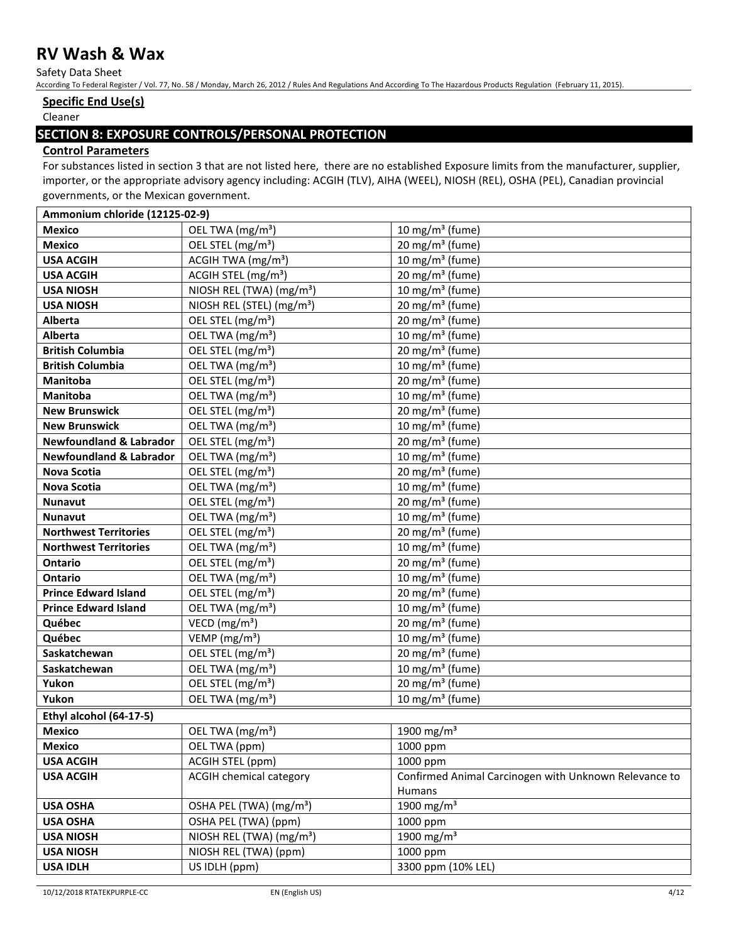Safety Data Sheet

According To Federal Register / Vol. 77, No. 58 / Monday, March 26, 2012 / Rules And Regulations And According To The Hazardous Products Regulation (February 11, 2015).

### **Specific End Use(s)**

Cleaner

### **SECTION 8: EXPOSURE CONTROLS/PERSONAL PROTECTION**

### **Control Parameters**

 For substances listed in section 3 that are not listed here, there are no established Exposure limits from the manufacturer, supplier, importer, or the appropriate advisory agency including: ACGIH (TLV), AIHA (WEEL), NIOSH (REL), OSHA (PEL), Canadian provincial governments, or the Mexican government.

| <b>Mexico</b><br>OEL TWA (mg/m <sup>3</sup> )<br>10 mg/m <sup>3</sup> (fume)<br>$20 \text{ mg/m}^3$ (fume)<br>OEL STEL (mg/m <sup>3</sup> )<br><b>Mexico</b><br>ACGIH TWA (mg/m <sup>3</sup> )<br>10 mg/m $3$ (fume)<br><b>USA ACGIH</b><br>ACGIH STEL (mg/m <sup>3</sup> )<br>$20 \text{ mg/m}^3$ (fume)<br><b>USA ACGIH</b><br>NIOSH REL (TWA) (mg/m <sup>3</sup> )<br>10 mg/m $3$ (fume)<br><b>USA NIOSH</b><br>NIOSH REL (STEL) (mg/m <sup>3</sup> )<br>$20$ mg/m <sup>3</sup> (fume)<br><b>USA NIOSH</b><br>OEL STEL (mg/m <sup>3</sup> )<br>$20$ mg/m <sup>3</sup> (fume)<br>Alberta<br>10 mg/m <sup>3</sup> (fume)<br><b>Alberta</b><br>OEL TWA (mg/m <sup>3</sup> )<br>OEL STEL (mg/m <sup>3</sup> )<br>$20 \text{ mg/m}^3$ (fume)<br><b>British Columbia</b><br>10 mg/m $3$ (fume)<br>OEL TWA (mg/m <sup>3</sup> )<br><b>British Columbia</b><br>20 mg/m <sup>3</sup> (fume)<br>OEL STEL (mg/m <sup>3</sup> )<br>Manitoba<br>10 mg/m $3$ (fume)<br>Manitoba<br>OEL TWA (mg/m <sup>3</sup> )<br>OEL STEL (mg/m <sup>3</sup> )<br>$20$ mg/m <sup>3</sup> (fume)<br><b>New Brunswick</b><br><b>New Brunswick</b><br>OEL TWA (mg/m <sup>3</sup> )<br>10 mg/m $3$ (fume)<br><b>Newfoundland &amp; Labrador</b><br>OEL STEL (mg/m <sup>3</sup> )<br>$20 \text{ mg/m}^3$ (fume)<br>10 mg/m $3$ (fume)<br>OEL TWA (mg/m <sup>3</sup> )<br><b>Newfoundland &amp; Labrador</b><br>OEL STEL (mg/m <sup>3</sup> )<br>$20$ mg/m <sup>3</sup> (fume)<br><b>Nova Scotia</b><br>OEL TWA (mg/m <sup>3</sup> )<br>10 mg/m <sup>3</sup> (fume)<br><b>Nova Scotia</b><br>$20 \text{ mg/m}^3$ (fume)<br>OEL STEL (mg/m <sup>3</sup> )<br><b>Nunavut</b><br>10 mg/m $3$ (fume)<br>OEL TWA (mg/m <sup>3</sup> )<br><b>Nunavut</b><br>$\overline{20}$ mg/m <sup>3</sup> (fume)<br>OEL STEL (mg/m <sup>3</sup> )<br><b>Northwest Territories</b><br>$10 \text{ mg/m}^3$ (fume)<br>OEL TWA (mg/m <sup>3</sup> )<br><b>Northwest Territories</b><br>$20 \text{ mg/m}^3$ (fume)<br>OEL STEL (mg/m <sup>3</sup> )<br>Ontario<br>10 mg/m $3$ (fume)<br>OEL TWA (mg/m <sup>3</sup> )<br><b>Ontario</b><br>OEL STEL (mg/m <sup>3</sup> )<br>$20$ mg/m <sup>3</sup> (fume)<br><b>Prince Edward Island</b><br>10 mg/m $3$ (fume)<br><b>Prince Edward Island</b><br>OEL TWA (mg/m <sup>3</sup> )<br>$20 \text{ mg/m}^3$ (fume)<br>Québec<br>VECD ( $mg/m3$ )<br>VEMP (mg/m <sup>3</sup> )<br>10 mg/m <sup>3</sup> (fume)<br>Québec<br>OEL STEL (mg/m <sup>3</sup> )<br>$20$ mg/m <sup>3</sup> (fume)<br>Saskatchewan<br>OEL TWA (mg/m <sup>3</sup> )<br>10 mg/m $3$ (fume)<br>Saskatchewan<br>OEL STEL $(mg/m3)$<br>$20 \text{ mg/m}^3$ (fume)<br>Yukon<br>10 mg/m $3$ (fume)<br>OEL TWA (mg/m <sup>3</sup> )<br>Yukon<br>Ethyl alcohol (64-17-5)<br><b>Mexico</b><br>1900 mg/m <sup>3</sup><br>OEL TWA (mg/m <sup>3</sup> )<br>OEL TWA (ppm)<br>1000 ppm<br><b>Mexico</b><br><b>USA ACGIH</b><br>ACGIH STEL (ppm)<br>1000 ppm<br>Confirmed Animal Carcinogen with Unknown Relevance to<br><b>USA ACGIH</b><br><b>ACGIH chemical category</b><br>Humans<br>1900 mg/m <sup>3</sup><br><b>USA OSHA</b> | Ammonium chloride (12125-02-9) |                                     |  |
|----------------------------------------------------------------------------------------------------------------------------------------------------------------------------------------------------------------------------------------------------------------------------------------------------------------------------------------------------------------------------------------------------------------------------------------------------------------------------------------------------------------------------------------------------------------------------------------------------------------------------------------------------------------------------------------------------------------------------------------------------------------------------------------------------------------------------------------------------------------------------------------------------------------------------------------------------------------------------------------------------------------------------------------------------------------------------------------------------------------------------------------------------------------------------------------------------------------------------------------------------------------------------------------------------------------------------------------------------------------------------------------------------------------------------------------------------------------------------------------------------------------------------------------------------------------------------------------------------------------------------------------------------------------------------------------------------------------------------------------------------------------------------------------------------------------------------------------------------------------------------------------------------------------------------------------------------------------------------------------------------------------------------------------------------------------------------------------------------------------------------------------------------------------------------------------------------------------------------------------------------------------------------------------------------------------------------------------------------------------------------------------------------------------------------------------------------------------------------------------------------------------------------------------------------------------------------------------------------------------------------------------------------------------------------------------------------------------------------------------------------------------------------------------------------------------------------------------------------------------------------------------------------------------------------------------------------------------------------------------------------------------------------------------------------------------------------|--------------------------------|-------------------------------------|--|
|                                                                                                                                                                                                                                                                                                                                                                                                                                                                                                                                                                                                                                                                                                                                                                                                                                                                                                                                                                                                                                                                                                                                                                                                                                                                                                                                                                                                                                                                                                                                                                                                                                                                                                                                                                                                                                                                                                                                                                                                                                                                                                                                                                                                                                                                                                                                                                                                                                                                                                                                                                                                                                                                                                                                                                                                                                                                                                                                                                                                                                                                            |                                |                                     |  |
|                                                                                                                                                                                                                                                                                                                                                                                                                                                                                                                                                                                                                                                                                                                                                                                                                                                                                                                                                                                                                                                                                                                                                                                                                                                                                                                                                                                                                                                                                                                                                                                                                                                                                                                                                                                                                                                                                                                                                                                                                                                                                                                                                                                                                                                                                                                                                                                                                                                                                                                                                                                                                                                                                                                                                                                                                                                                                                                                                                                                                                                                            |                                |                                     |  |
|                                                                                                                                                                                                                                                                                                                                                                                                                                                                                                                                                                                                                                                                                                                                                                                                                                                                                                                                                                                                                                                                                                                                                                                                                                                                                                                                                                                                                                                                                                                                                                                                                                                                                                                                                                                                                                                                                                                                                                                                                                                                                                                                                                                                                                                                                                                                                                                                                                                                                                                                                                                                                                                                                                                                                                                                                                                                                                                                                                                                                                                                            |                                |                                     |  |
|                                                                                                                                                                                                                                                                                                                                                                                                                                                                                                                                                                                                                                                                                                                                                                                                                                                                                                                                                                                                                                                                                                                                                                                                                                                                                                                                                                                                                                                                                                                                                                                                                                                                                                                                                                                                                                                                                                                                                                                                                                                                                                                                                                                                                                                                                                                                                                                                                                                                                                                                                                                                                                                                                                                                                                                                                                                                                                                                                                                                                                                                            |                                |                                     |  |
|                                                                                                                                                                                                                                                                                                                                                                                                                                                                                                                                                                                                                                                                                                                                                                                                                                                                                                                                                                                                                                                                                                                                                                                                                                                                                                                                                                                                                                                                                                                                                                                                                                                                                                                                                                                                                                                                                                                                                                                                                                                                                                                                                                                                                                                                                                                                                                                                                                                                                                                                                                                                                                                                                                                                                                                                                                                                                                                                                                                                                                                                            |                                |                                     |  |
|                                                                                                                                                                                                                                                                                                                                                                                                                                                                                                                                                                                                                                                                                                                                                                                                                                                                                                                                                                                                                                                                                                                                                                                                                                                                                                                                                                                                                                                                                                                                                                                                                                                                                                                                                                                                                                                                                                                                                                                                                                                                                                                                                                                                                                                                                                                                                                                                                                                                                                                                                                                                                                                                                                                                                                                                                                                                                                                                                                                                                                                                            |                                |                                     |  |
|                                                                                                                                                                                                                                                                                                                                                                                                                                                                                                                                                                                                                                                                                                                                                                                                                                                                                                                                                                                                                                                                                                                                                                                                                                                                                                                                                                                                                                                                                                                                                                                                                                                                                                                                                                                                                                                                                                                                                                                                                                                                                                                                                                                                                                                                                                                                                                                                                                                                                                                                                                                                                                                                                                                                                                                                                                                                                                                                                                                                                                                                            |                                |                                     |  |
|                                                                                                                                                                                                                                                                                                                                                                                                                                                                                                                                                                                                                                                                                                                                                                                                                                                                                                                                                                                                                                                                                                                                                                                                                                                                                                                                                                                                                                                                                                                                                                                                                                                                                                                                                                                                                                                                                                                                                                                                                                                                                                                                                                                                                                                                                                                                                                                                                                                                                                                                                                                                                                                                                                                                                                                                                                                                                                                                                                                                                                                                            |                                |                                     |  |
|                                                                                                                                                                                                                                                                                                                                                                                                                                                                                                                                                                                                                                                                                                                                                                                                                                                                                                                                                                                                                                                                                                                                                                                                                                                                                                                                                                                                                                                                                                                                                                                                                                                                                                                                                                                                                                                                                                                                                                                                                                                                                                                                                                                                                                                                                                                                                                                                                                                                                                                                                                                                                                                                                                                                                                                                                                                                                                                                                                                                                                                                            |                                |                                     |  |
|                                                                                                                                                                                                                                                                                                                                                                                                                                                                                                                                                                                                                                                                                                                                                                                                                                                                                                                                                                                                                                                                                                                                                                                                                                                                                                                                                                                                                                                                                                                                                                                                                                                                                                                                                                                                                                                                                                                                                                                                                                                                                                                                                                                                                                                                                                                                                                                                                                                                                                                                                                                                                                                                                                                                                                                                                                                                                                                                                                                                                                                                            |                                |                                     |  |
|                                                                                                                                                                                                                                                                                                                                                                                                                                                                                                                                                                                                                                                                                                                                                                                                                                                                                                                                                                                                                                                                                                                                                                                                                                                                                                                                                                                                                                                                                                                                                                                                                                                                                                                                                                                                                                                                                                                                                                                                                                                                                                                                                                                                                                                                                                                                                                                                                                                                                                                                                                                                                                                                                                                                                                                                                                                                                                                                                                                                                                                                            |                                |                                     |  |
|                                                                                                                                                                                                                                                                                                                                                                                                                                                                                                                                                                                                                                                                                                                                                                                                                                                                                                                                                                                                                                                                                                                                                                                                                                                                                                                                                                                                                                                                                                                                                                                                                                                                                                                                                                                                                                                                                                                                                                                                                                                                                                                                                                                                                                                                                                                                                                                                                                                                                                                                                                                                                                                                                                                                                                                                                                                                                                                                                                                                                                                                            |                                |                                     |  |
|                                                                                                                                                                                                                                                                                                                                                                                                                                                                                                                                                                                                                                                                                                                                                                                                                                                                                                                                                                                                                                                                                                                                                                                                                                                                                                                                                                                                                                                                                                                                                                                                                                                                                                                                                                                                                                                                                                                                                                                                                                                                                                                                                                                                                                                                                                                                                                                                                                                                                                                                                                                                                                                                                                                                                                                                                                                                                                                                                                                                                                                                            |                                |                                     |  |
|                                                                                                                                                                                                                                                                                                                                                                                                                                                                                                                                                                                                                                                                                                                                                                                                                                                                                                                                                                                                                                                                                                                                                                                                                                                                                                                                                                                                                                                                                                                                                                                                                                                                                                                                                                                                                                                                                                                                                                                                                                                                                                                                                                                                                                                                                                                                                                                                                                                                                                                                                                                                                                                                                                                                                                                                                                                                                                                                                                                                                                                                            |                                |                                     |  |
|                                                                                                                                                                                                                                                                                                                                                                                                                                                                                                                                                                                                                                                                                                                                                                                                                                                                                                                                                                                                                                                                                                                                                                                                                                                                                                                                                                                                                                                                                                                                                                                                                                                                                                                                                                                                                                                                                                                                                                                                                                                                                                                                                                                                                                                                                                                                                                                                                                                                                                                                                                                                                                                                                                                                                                                                                                                                                                                                                                                                                                                                            |                                |                                     |  |
|                                                                                                                                                                                                                                                                                                                                                                                                                                                                                                                                                                                                                                                                                                                                                                                                                                                                                                                                                                                                                                                                                                                                                                                                                                                                                                                                                                                                                                                                                                                                                                                                                                                                                                                                                                                                                                                                                                                                                                                                                                                                                                                                                                                                                                                                                                                                                                                                                                                                                                                                                                                                                                                                                                                                                                                                                                                                                                                                                                                                                                                                            |                                |                                     |  |
|                                                                                                                                                                                                                                                                                                                                                                                                                                                                                                                                                                                                                                                                                                                                                                                                                                                                                                                                                                                                                                                                                                                                                                                                                                                                                                                                                                                                                                                                                                                                                                                                                                                                                                                                                                                                                                                                                                                                                                                                                                                                                                                                                                                                                                                                                                                                                                                                                                                                                                                                                                                                                                                                                                                                                                                                                                                                                                                                                                                                                                                                            |                                |                                     |  |
|                                                                                                                                                                                                                                                                                                                                                                                                                                                                                                                                                                                                                                                                                                                                                                                                                                                                                                                                                                                                                                                                                                                                                                                                                                                                                                                                                                                                                                                                                                                                                                                                                                                                                                                                                                                                                                                                                                                                                                                                                                                                                                                                                                                                                                                                                                                                                                                                                                                                                                                                                                                                                                                                                                                                                                                                                                                                                                                                                                                                                                                                            |                                |                                     |  |
|                                                                                                                                                                                                                                                                                                                                                                                                                                                                                                                                                                                                                                                                                                                                                                                                                                                                                                                                                                                                                                                                                                                                                                                                                                                                                                                                                                                                                                                                                                                                                                                                                                                                                                                                                                                                                                                                                                                                                                                                                                                                                                                                                                                                                                                                                                                                                                                                                                                                                                                                                                                                                                                                                                                                                                                                                                                                                                                                                                                                                                                                            |                                |                                     |  |
|                                                                                                                                                                                                                                                                                                                                                                                                                                                                                                                                                                                                                                                                                                                                                                                                                                                                                                                                                                                                                                                                                                                                                                                                                                                                                                                                                                                                                                                                                                                                                                                                                                                                                                                                                                                                                                                                                                                                                                                                                                                                                                                                                                                                                                                                                                                                                                                                                                                                                                                                                                                                                                                                                                                                                                                                                                                                                                                                                                                                                                                                            |                                |                                     |  |
|                                                                                                                                                                                                                                                                                                                                                                                                                                                                                                                                                                                                                                                                                                                                                                                                                                                                                                                                                                                                                                                                                                                                                                                                                                                                                                                                                                                                                                                                                                                                                                                                                                                                                                                                                                                                                                                                                                                                                                                                                                                                                                                                                                                                                                                                                                                                                                                                                                                                                                                                                                                                                                                                                                                                                                                                                                                                                                                                                                                                                                                                            |                                |                                     |  |
|                                                                                                                                                                                                                                                                                                                                                                                                                                                                                                                                                                                                                                                                                                                                                                                                                                                                                                                                                                                                                                                                                                                                                                                                                                                                                                                                                                                                                                                                                                                                                                                                                                                                                                                                                                                                                                                                                                                                                                                                                                                                                                                                                                                                                                                                                                                                                                                                                                                                                                                                                                                                                                                                                                                                                                                                                                                                                                                                                                                                                                                                            |                                |                                     |  |
|                                                                                                                                                                                                                                                                                                                                                                                                                                                                                                                                                                                                                                                                                                                                                                                                                                                                                                                                                                                                                                                                                                                                                                                                                                                                                                                                                                                                                                                                                                                                                                                                                                                                                                                                                                                                                                                                                                                                                                                                                                                                                                                                                                                                                                                                                                                                                                                                                                                                                                                                                                                                                                                                                                                                                                                                                                                                                                                                                                                                                                                                            |                                |                                     |  |
|                                                                                                                                                                                                                                                                                                                                                                                                                                                                                                                                                                                                                                                                                                                                                                                                                                                                                                                                                                                                                                                                                                                                                                                                                                                                                                                                                                                                                                                                                                                                                                                                                                                                                                                                                                                                                                                                                                                                                                                                                                                                                                                                                                                                                                                                                                                                                                                                                                                                                                                                                                                                                                                                                                                                                                                                                                                                                                                                                                                                                                                                            |                                |                                     |  |
|                                                                                                                                                                                                                                                                                                                                                                                                                                                                                                                                                                                                                                                                                                                                                                                                                                                                                                                                                                                                                                                                                                                                                                                                                                                                                                                                                                                                                                                                                                                                                                                                                                                                                                                                                                                                                                                                                                                                                                                                                                                                                                                                                                                                                                                                                                                                                                                                                                                                                                                                                                                                                                                                                                                                                                                                                                                                                                                                                                                                                                                                            |                                |                                     |  |
|                                                                                                                                                                                                                                                                                                                                                                                                                                                                                                                                                                                                                                                                                                                                                                                                                                                                                                                                                                                                                                                                                                                                                                                                                                                                                                                                                                                                                                                                                                                                                                                                                                                                                                                                                                                                                                                                                                                                                                                                                                                                                                                                                                                                                                                                                                                                                                                                                                                                                                                                                                                                                                                                                                                                                                                                                                                                                                                                                                                                                                                                            |                                |                                     |  |
|                                                                                                                                                                                                                                                                                                                                                                                                                                                                                                                                                                                                                                                                                                                                                                                                                                                                                                                                                                                                                                                                                                                                                                                                                                                                                                                                                                                                                                                                                                                                                                                                                                                                                                                                                                                                                                                                                                                                                                                                                                                                                                                                                                                                                                                                                                                                                                                                                                                                                                                                                                                                                                                                                                                                                                                                                                                                                                                                                                                                                                                                            |                                |                                     |  |
|                                                                                                                                                                                                                                                                                                                                                                                                                                                                                                                                                                                                                                                                                                                                                                                                                                                                                                                                                                                                                                                                                                                                                                                                                                                                                                                                                                                                                                                                                                                                                                                                                                                                                                                                                                                                                                                                                                                                                                                                                                                                                                                                                                                                                                                                                                                                                                                                                                                                                                                                                                                                                                                                                                                                                                                                                                                                                                                                                                                                                                                                            |                                |                                     |  |
|                                                                                                                                                                                                                                                                                                                                                                                                                                                                                                                                                                                                                                                                                                                                                                                                                                                                                                                                                                                                                                                                                                                                                                                                                                                                                                                                                                                                                                                                                                                                                                                                                                                                                                                                                                                                                                                                                                                                                                                                                                                                                                                                                                                                                                                                                                                                                                                                                                                                                                                                                                                                                                                                                                                                                                                                                                                                                                                                                                                                                                                                            |                                |                                     |  |
|                                                                                                                                                                                                                                                                                                                                                                                                                                                                                                                                                                                                                                                                                                                                                                                                                                                                                                                                                                                                                                                                                                                                                                                                                                                                                                                                                                                                                                                                                                                                                                                                                                                                                                                                                                                                                                                                                                                                                                                                                                                                                                                                                                                                                                                                                                                                                                                                                                                                                                                                                                                                                                                                                                                                                                                                                                                                                                                                                                                                                                                                            |                                |                                     |  |
|                                                                                                                                                                                                                                                                                                                                                                                                                                                                                                                                                                                                                                                                                                                                                                                                                                                                                                                                                                                                                                                                                                                                                                                                                                                                                                                                                                                                                                                                                                                                                                                                                                                                                                                                                                                                                                                                                                                                                                                                                                                                                                                                                                                                                                                                                                                                                                                                                                                                                                                                                                                                                                                                                                                                                                                                                                                                                                                                                                                                                                                                            |                                |                                     |  |
|                                                                                                                                                                                                                                                                                                                                                                                                                                                                                                                                                                                                                                                                                                                                                                                                                                                                                                                                                                                                                                                                                                                                                                                                                                                                                                                                                                                                                                                                                                                                                                                                                                                                                                                                                                                                                                                                                                                                                                                                                                                                                                                                                                                                                                                                                                                                                                                                                                                                                                                                                                                                                                                                                                                                                                                                                                                                                                                                                                                                                                                                            |                                |                                     |  |
|                                                                                                                                                                                                                                                                                                                                                                                                                                                                                                                                                                                                                                                                                                                                                                                                                                                                                                                                                                                                                                                                                                                                                                                                                                                                                                                                                                                                                                                                                                                                                                                                                                                                                                                                                                                                                                                                                                                                                                                                                                                                                                                                                                                                                                                                                                                                                                                                                                                                                                                                                                                                                                                                                                                                                                                                                                                                                                                                                                                                                                                                            |                                |                                     |  |
|                                                                                                                                                                                                                                                                                                                                                                                                                                                                                                                                                                                                                                                                                                                                                                                                                                                                                                                                                                                                                                                                                                                                                                                                                                                                                                                                                                                                                                                                                                                                                                                                                                                                                                                                                                                                                                                                                                                                                                                                                                                                                                                                                                                                                                                                                                                                                                                                                                                                                                                                                                                                                                                                                                                                                                                                                                                                                                                                                                                                                                                                            |                                |                                     |  |
|                                                                                                                                                                                                                                                                                                                                                                                                                                                                                                                                                                                                                                                                                                                                                                                                                                                                                                                                                                                                                                                                                                                                                                                                                                                                                                                                                                                                                                                                                                                                                                                                                                                                                                                                                                                                                                                                                                                                                                                                                                                                                                                                                                                                                                                                                                                                                                                                                                                                                                                                                                                                                                                                                                                                                                                                                                                                                                                                                                                                                                                                            |                                |                                     |  |
|                                                                                                                                                                                                                                                                                                                                                                                                                                                                                                                                                                                                                                                                                                                                                                                                                                                                                                                                                                                                                                                                                                                                                                                                                                                                                                                                                                                                                                                                                                                                                                                                                                                                                                                                                                                                                                                                                                                                                                                                                                                                                                                                                                                                                                                                                                                                                                                                                                                                                                                                                                                                                                                                                                                                                                                                                                                                                                                                                                                                                                                                            |                                |                                     |  |
|                                                                                                                                                                                                                                                                                                                                                                                                                                                                                                                                                                                                                                                                                                                                                                                                                                                                                                                                                                                                                                                                                                                                                                                                                                                                                                                                                                                                                                                                                                                                                                                                                                                                                                                                                                                                                                                                                                                                                                                                                                                                                                                                                                                                                                                                                                                                                                                                                                                                                                                                                                                                                                                                                                                                                                                                                                                                                                                                                                                                                                                                            |                                |                                     |  |
|                                                                                                                                                                                                                                                                                                                                                                                                                                                                                                                                                                                                                                                                                                                                                                                                                                                                                                                                                                                                                                                                                                                                                                                                                                                                                                                                                                                                                                                                                                                                                                                                                                                                                                                                                                                                                                                                                                                                                                                                                                                                                                                                                                                                                                                                                                                                                                                                                                                                                                                                                                                                                                                                                                                                                                                                                                                                                                                                                                                                                                                                            |                                |                                     |  |
|                                                                                                                                                                                                                                                                                                                                                                                                                                                                                                                                                                                                                                                                                                                                                                                                                                                                                                                                                                                                                                                                                                                                                                                                                                                                                                                                                                                                                                                                                                                                                                                                                                                                                                                                                                                                                                                                                                                                                                                                                                                                                                                                                                                                                                                                                                                                                                                                                                                                                                                                                                                                                                                                                                                                                                                                                                                                                                                                                                                                                                                                            |                                | OSHA PEL (TWA) (mg/m <sup>3</sup> ) |  |
| <b>USA OSHA</b><br>OSHA PEL (TWA) (ppm)<br>1000 ppm                                                                                                                                                                                                                                                                                                                                                                                                                                                                                                                                                                                                                                                                                                                                                                                                                                                                                                                                                                                                                                                                                                                                                                                                                                                                                                                                                                                                                                                                                                                                                                                                                                                                                                                                                                                                                                                                                                                                                                                                                                                                                                                                                                                                                                                                                                                                                                                                                                                                                                                                                                                                                                                                                                                                                                                                                                                                                                                                                                                                                        |                                |                                     |  |
| 1900 mg/m <sup>3</sup><br>NIOSH REL (TWA) (mg/m <sup>3</sup> )<br><b>USA NIOSH</b>                                                                                                                                                                                                                                                                                                                                                                                                                                                                                                                                                                                                                                                                                                                                                                                                                                                                                                                                                                                                                                                                                                                                                                                                                                                                                                                                                                                                                                                                                                                                                                                                                                                                                                                                                                                                                                                                                                                                                                                                                                                                                                                                                                                                                                                                                                                                                                                                                                                                                                                                                                                                                                                                                                                                                                                                                                                                                                                                                                                         |                                |                                     |  |
| NIOSH REL (TWA) (ppm)<br>1000 ppm<br><b>USA NIOSH</b>                                                                                                                                                                                                                                                                                                                                                                                                                                                                                                                                                                                                                                                                                                                                                                                                                                                                                                                                                                                                                                                                                                                                                                                                                                                                                                                                                                                                                                                                                                                                                                                                                                                                                                                                                                                                                                                                                                                                                                                                                                                                                                                                                                                                                                                                                                                                                                                                                                                                                                                                                                                                                                                                                                                                                                                                                                                                                                                                                                                                                      |                                |                                     |  |
| 3300 ppm (10% LEL)<br><b>USA IDLH</b><br>US IDLH (ppm)                                                                                                                                                                                                                                                                                                                                                                                                                                                                                                                                                                                                                                                                                                                                                                                                                                                                                                                                                                                                                                                                                                                                                                                                                                                                                                                                                                                                                                                                                                                                                                                                                                                                                                                                                                                                                                                                                                                                                                                                                                                                                                                                                                                                                                                                                                                                                                                                                                                                                                                                                                                                                                                                                                                                                                                                                                                                                                                                                                                                                     |                                |                                     |  |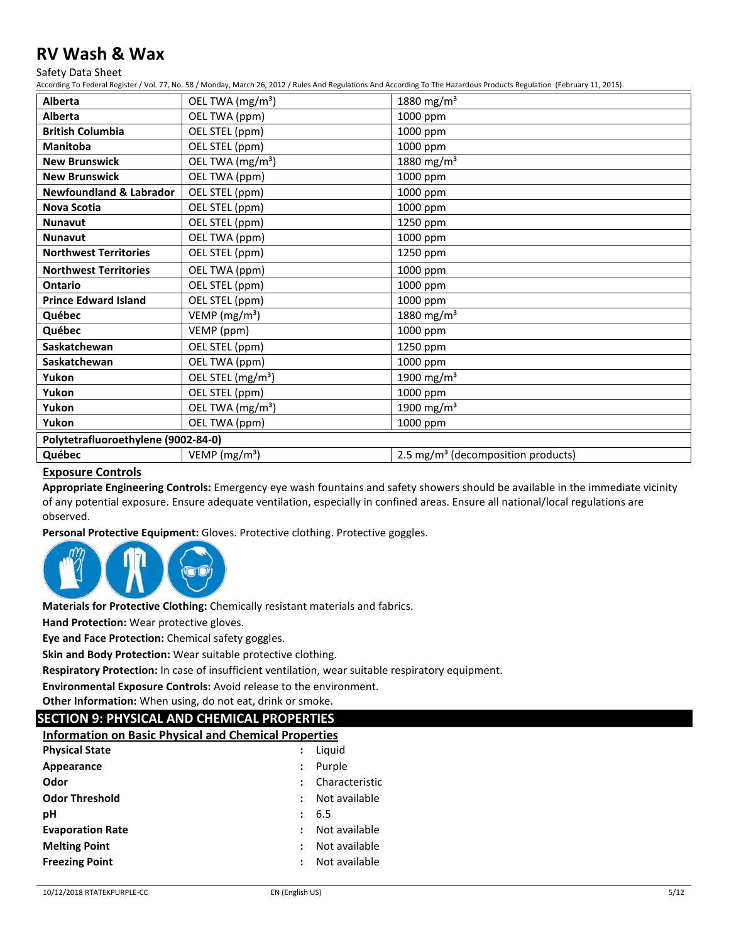Safety Data Sheet

According To Federal Register / Vol. 77, No. 58 / Monday, March 26, 2012 / Rules And Regulations And According To The Hazardous Products Regulation (February 11, 2015).

| <b>Alberta</b>                      | OEL TWA (mg/m <sup>3</sup> )  | 1880 mg/m <sup>3</sup>                         |
|-------------------------------------|-------------------------------|------------------------------------------------|
| <b>Alberta</b>                      | OEL TWA (ppm)                 | 1000 ppm                                       |
| <b>British Columbia</b>             | OEL STEL (ppm)                | 1000 ppm                                       |
| <b>Manitoba</b>                     | OEL STEL (ppm)                | 1000 ppm                                       |
| <b>New Brunswick</b>                | OEL TWA (mg/m <sup>3</sup> )  | 1880 mg/m <sup>3</sup>                         |
| <b>New Brunswick</b>                | OEL TWA (ppm)                 | 1000 ppm                                       |
| <b>Newfoundland &amp; Labrador</b>  | OEL STEL (ppm)                | 1000 ppm                                       |
| <b>Nova Scotia</b>                  | OEL STEL (ppm)                | 1000 ppm                                       |
| <b>Nunavut</b>                      | OEL STEL (ppm)                | 1250 ppm                                       |
| <b>Nunavut</b>                      | OEL TWA (ppm)                 | 1000 ppm                                       |
| <b>Northwest Territories</b>        | OEL STEL (ppm)                | 1250 ppm                                       |
| <b>Northwest Territories</b>        | OEL TWA (ppm)                 | 1000 ppm                                       |
| Ontario                             | OEL STEL (ppm)                | 1000 ppm                                       |
| <b>Prince Edward Island</b>         | OEL STEL (ppm)                | 1000 ppm                                       |
| Québec                              | VEMP ( $mg/m3$ )              | 1880 mg/m <sup>3</sup>                         |
| Québec                              | VEMP (ppm)                    | 1000 ppm                                       |
| Saskatchewan                        | OEL STEL (ppm)                | 1250 ppm                                       |
| Saskatchewan                        | OEL TWA (ppm)                 | 1000 ppm                                       |
| Yukon                               | OEL STEL (mg/m <sup>3</sup> ) | 1900 mg/m <sup>3</sup>                         |
| Yukon                               | OEL STEL (ppm)                | 1000 ppm                                       |
| Yukon                               | OEL TWA (mg/m <sup>3</sup> )  | 1900 mg/m <sup>3</sup>                         |
| Yukon                               | OEL TWA (ppm)                 | 1000 ppm                                       |
| Polytetrafluoroethylene (9002-84-0) |                               |                                                |
| Québec                              | VEMP ( $mg/m3$ )              | 2.5 mg/m <sup>3</sup> (decomposition products) |

### **Exposure Controls**

 **Appropriate Engineering Controls:** Emergency eye wash fountains and safety showers should be available in the immediate vicinity of any potential exposure. Ensure adequate ventilation, especially in confined areas. Ensure all national/local regulations are observed.

 **Personal Protective Equipment:** Gloves. Protective clothing. Protective goggles.



 **Materials for Protective Clothing:** Chemically resistant materials and fabrics.

**Hand Protection:** Wear protective gloves.

 **Eye and Face Protection:** Chemical safety goggles.

 **Skin and Body Protection:** Wear suitable protective clothing.

**Respiratory Protection:** In case of insufficient ventilation, wear suitable respiratory equipment.

 **Environmental Exposure Controls:** Avoid release to the environment.

**Other Information:** When using, do not eat, drink or smoke.

### **SECTION 9: PHYSICAL AND CHEMICAL PROPERTIES**

| <b>Information on Basic Physical and Chemical Properties</b> |   |                |
|--------------------------------------------------------------|---|----------------|
| <b>Physical State</b>                                        |   | Liquid         |
| Appearance                                                   | : | Purple         |
| Odor                                                         |   | Characteristic |
| <b>Odor Threshold</b>                                        |   | Not available  |
| рH                                                           |   | 6.5            |
| <b>Evaporation Rate</b>                                      |   | Not available  |
| <b>Melting Point</b>                                         |   | Not available  |
| <b>Freezing Point</b>                                        |   | Not available  |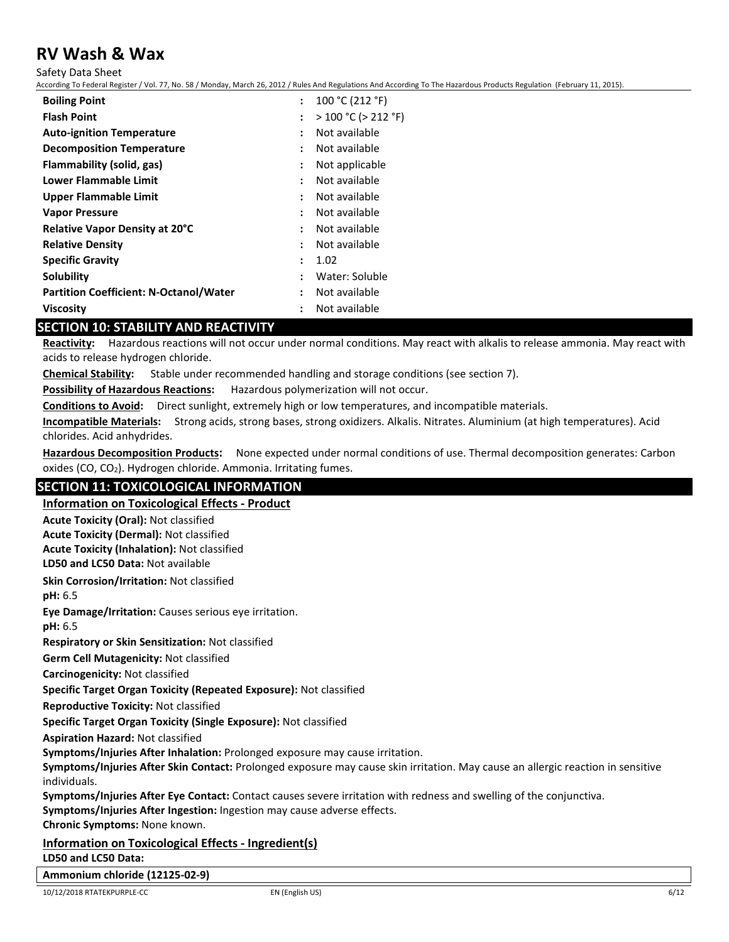Safety Data Sheet

According To Federal Register / Vol. 77, No. 58 / Monday, March 26, 2012 / Rules And Regulations And According To The Hazardous Products Regulation (February 11, 2015).

| <b>Boiling Point</b>                          | ÷                    | 100 °C (212 °F)          |
|-----------------------------------------------|----------------------|--------------------------|
| <b>Flash Point</b>                            | $\ddot{\phantom{a}}$ | $>$ 100 °C ( $>$ 212 °F) |
| <b>Auto-ignition Temperature</b>              | :                    | Not available            |
| <b>Decomposition Temperature</b>              | $\ddot{\phantom{a}}$ | Not available            |
| Flammability (solid, gas)                     | $\ddot{\cdot}$       | Not applicable           |
| Lower Flammable Limit                         | $\ddot{\cdot}$       | Not available            |
| Upper Flammable Limit                         | $\ddot{\cdot}$       | Not available            |
| <b>Vapor Pressure</b>                         | $\ddot{\cdot}$       | Not available            |
| <b>Relative Vapor Density at 20°C</b>         | $\ddot{\cdot}$       | Not available            |
| <b>Relative Density</b>                       | $\ddot{\cdot}$       | Not available            |
| <b>Specific Gravity</b>                       | :                    | 1.02                     |
| Solubility                                    | $\ddot{\cdot}$       | Water: Soluble           |
| <b>Partition Coefficient: N-Octanol/Water</b> | $\ddot{\cdot}$       | Not available            |
| <b>Viscosity</b>                              | $\ddot{\phantom{a}}$ | Not available            |

### **SECTION 10: STABILITY AND REACTIVITY**

 **Reactivity:** Hazardous reactions will not occur under normal conditions. May react with alkalis to release ammonia. May react with acids to release hydrogen chloride.

**Chemical Stability:** Stable under recommended handling and storage conditions (see section 7).

**Possibility of Hazardous Reactions: Possibility of Hazardous Reactions:** Hazardous polymerization will not occur.

 **Conditions to Avoid:** Direct sunlight, extremely high or low temperatures, and incompatible materials.

 **Incompatible Materials:** Strong acids, strong bases, strong oxidizers. Alkalis. Nitrates. Aluminium (at high temperatures). Acid chlorides. Acid anhydrides.

 **Hazardous Decomposition Products:** None expected under normal conditions of use. Thermal decomposition generates: Carbon oxides (CO, CO2). Hydrogen chloride. Ammonia. Irritating fumes.

### **SECTION 11: TOXICOLOGICAL INFORMATION**

 **Information on Toxicological Effects - Product LD50 and LC50 Data:** Not available  **Acute Toxicity (Oral):** Not classified  **Acute Toxicity (Dermal):** Not classified  **Acute Toxicity (Inhalation):** Not classified

**Skin Corrosion/Irritation:** Not classified

**pH:** 6.5

**Eye Damage/Irritation:** Causes serious eye irritation.

**pH:** 6.5

 **Respiratory or Skin Sensitization:** Not classified

 **Germ Cell Mutagenicity:** Not classified

**Carcinogenicity:** Not classified

 **Specific Target Organ Toxicity (Repeated Exposure):** Not classified

**Reproductive Toxicity:** Not classified

 **Specific Target Organ Toxicity (Single Exposure):** Not classified

**Aspiration Hazard:** Not classified

 **Symptoms/Injuries After Inhalation:** Prolonged exposure may cause irritation.

 **Symptoms/Injuries After Skin Contact:** Prolonged exposure may cause skin irritation. May cause an allergic reaction in sensitive individuals.

 **Symptoms/Injuries After Eye Contact:** Contact causes severe irritation with redness and swelling of the conjunctiva.

 **Symptoms/Injuries After Ingestion:** Ingestion may cause adverse effects.

**Chronic Symptoms:** None known.

### **Information on Toxicological Effects - Ingredient(s)**

LD50 and LC50 Data:

 **LD50 and LC50 Data: Ammonium chloride (12125-02-9)**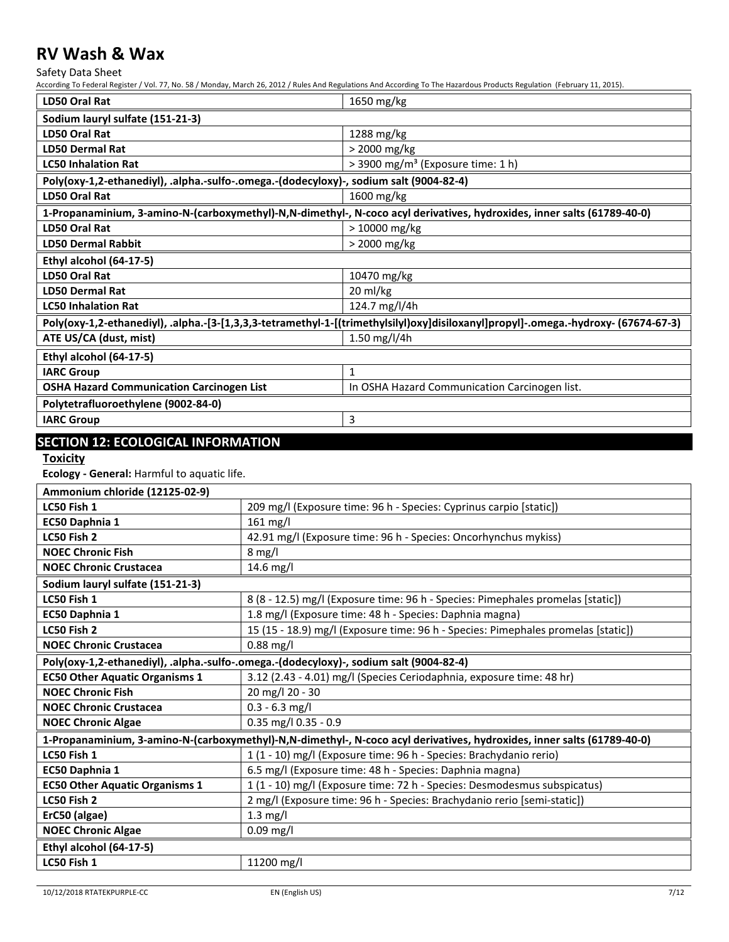Safety Data Sheet

According To Federal Register / Vol. 77, No. 58 / Monday, March 26, 2012 / Rules And Regulations And According To The Hazardous Products Regulation (February 11, 2015).

| LD50 Oral Rat                                                                                                                      | 1650 mg/kg                                                                                                              |  |
|------------------------------------------------------------------------------------------------------------------------------------|-------------------------------------------------------------------------------------------------------------------------|--|
| Sodium lauryl sulfate (151-21-3)                                                                                                   |                                                                                                                         |  |
| LD50 Oral Rat                                                                                                                      | 1288 mg/kg                                                                                                              |  |
| <b>LD50 Dermal Rat</b>                                                                                                             | > 2000 mg/kg                                                                                                            |  |
| <b>LC50 Inhalation Rat</b>                                                                                                         | > 3900 mg/m <sup>3</sup> (Exposure time: 1 h)                                                                           |  |
| Poly(oxy-1,2-ethanediyl), .alpha.-sulfo-.omega.-(dodecyloxy)-, sodium salt (9004-82-4)                                             |                                                                                                                         |  |
| LD50 Oral Rat                                                                                                                      | 1600 mg/kg                                                                                                              |  |
|                                                                                                                                    | 1-Propanaminium, 3-amino-N-(carboxymethyl)-N,N-dimethyl-, N-coco acyl derivatives, hydroxides, inner salts (61789-40-0) |  |
| LD50 Oral Rat                                                                                                                      | $>10000$ mg/kg                                                                                                          |  |
| <b>LD50 Dermal Rabbit</b>                                                                                                          | > 2000 mg/kg                                                                                                            |  |
| Ethyl alcohol (64-17-5)                                                                                                            |                                                                                                                         |  |
| LD50 Oral Rat                                                                                                                      | 10470 mg/kg                                                                                                             |  |
| <b>LD50 Dermal Rat</b>                                                                                                             | 20 ml/kg                                                                                                                |  |
| <b>LC50 Inhalation Rat</b>                                                                                                         | 124.7 mg/l/4h                                                                                                           |  |
| Poly(oxy-1,2-ethanediyl), .alpha.-[3-[1,3,3,3-tetramethyl-1-[(trimethylsilyl)oxy]disiloxanyl]propyl]-.omega.-hydroxy- (67674-67-3) |                                                                                                                         |  |
| ATE US/CA (dust, mist)                                                                                                             | 1.50 mg/l/4h                                                                                                            |  |
| Ethyl alcohol (64-17-5)                                                                                                            |                                                                                                                         |  |
| <b>IARC Group</b>                                                                                                                  | $\mathbf{1}$                                                                                                            |  |
| <b>OSHA Hazard Communication Carcinogen List</b>                                                                                   | In OSHA Hazard Communication Carcinogen list.                                                                           |  |
| Polytetrafluoroethylene (9002-84-0)                                                                                                |                                                                                                                         |  |
| <b>IARC Group</b>                                                                                                                  | 3                                                                                                                       |  |
| $\sim$ $\sim$ $\sim$ $\sim$ $\sim$                                                                                                 |                                                                                                                         |  |

### **SECTION 12: ECOLOGICAL INFORMATION**

**Toxicity** 

**Toxicity**<br>**Ecology - General:** Harmful to aquatic life.

| Ammonium chloride (12125-02-9)                                                                                          |                                                                                   |  |
|-------------------------------------------------------------------------------------------------------------------------|-----------------------------------------------------------------------------------|--|
| LC50 Fish 1                                                                                                             | 209 mg/l (Exposure time: 96 h - Species: Cyprinus carpio [static])                |  |
| EC50 Daphnia 1                                                                                                          | $161$ mg/l                                                                        |  |
| LC50 Fish 2                                                                                                             | 42.91 mg/l (Exposure time: 96 h - Species: Oncorhynchus mykiss)                   |  |
| <b>NOEC Chronic Fish</b>                                                                                                | $8$ mg/l                                                                          |  |
| <b>NOEC Chronic Crustacea</b>                                                                                           | 14.6 mg/l                                                                         |  |
| Sodium lauryl sulfate (151-21-3)                                                                                        |                                                                                   |  |
| LC50 Fish 1                                                                                                             | 8 (8 - 12.5) mg/l (Exposure time: 96 h - Species: Pimephales promelas [static])   |  |
| EC50 Daphnia 1                                                                                                          | 1.8 mg/l (Exposure time: 48 h - Species: Daphnia magna)                           |  |
| LC50 Fish 2                                                                                                             | 15 (15 - 18.9) mg/l (Exposure time: 96 h - Species: Pimephales promelas [static]) |  |
| <b>NOEC Chronic Crustacea</b>                                                                                           | $0.88$ mg/l                                                                       |  |
| Poly(oxy-1,2-ethanediyl), .alpha.-sulfo-.omega.-(dodecyloxy)-, sodium salt (9004-82-4)                                  |                                                                                   |  |
| <b>EC50 Other Aquatic Organisms 1</b>                                                                                   | 3.12 (2.43 - 4.01) mg/l (Species Ceriodaphnia, exposure time: 48 hr)              |  |
| <b>NOEC Chronic Fish</b>                                                                                                | 20 mg/l 20 - 30                                                                   |  |
| <b>NOEC Chronic Crustacea</b>                                                                                           | $0.3 - 6.3$ mg/l                                                                  |  |
| <b>NOEC Chronic Algae</b>                                                                                               | $0.35$ mg/l $0.35 - 0.9$                                                          |  |
| 1-Propanaminium, 3-amino-N-(carboxymethyl)-N,N-dimethyl-, N-coco acyl derivatives, hydroxides, inner salts (61789-40-0) |                                                                                   |  |
| LC50 Fish 1                                                                                                             | 1 (1 - 10) mg/l (Exposure time: 96 h - Species: Brachydanio rerio)                |  |
| EC50 Daphnia 1                                                                                                          | 6.5 mg/l (Exposure time: 48 h - Species: Daphnia magna)                           |  |
| <b>EC50 Other Aquatic Organisms 1</b>                                                                                   | 1 (1 - 10) mg/l (Exposure time: 72 h - Species: Desmodesmus subspicatus)          |  |
| LC50 Fish 2                                                                                                             | 2 mg/l (Exposure time: 96 h - Species: Brachydanio rerio [semi-static])           |  |
| ErC50 (algae)                                                                                                           | $1.3$ mg/l                                                                        |  |
| <b>NOEC Chronic Algae</b>                                                                                               | $0.09$ mg/l                                                                       |  |
| Ethyl alcohol (64-17-5)                                                                                                 |                                                                                   |  |
| LC50 Fish 1                                                                                                             | 11200 mg/l                                                                        |  |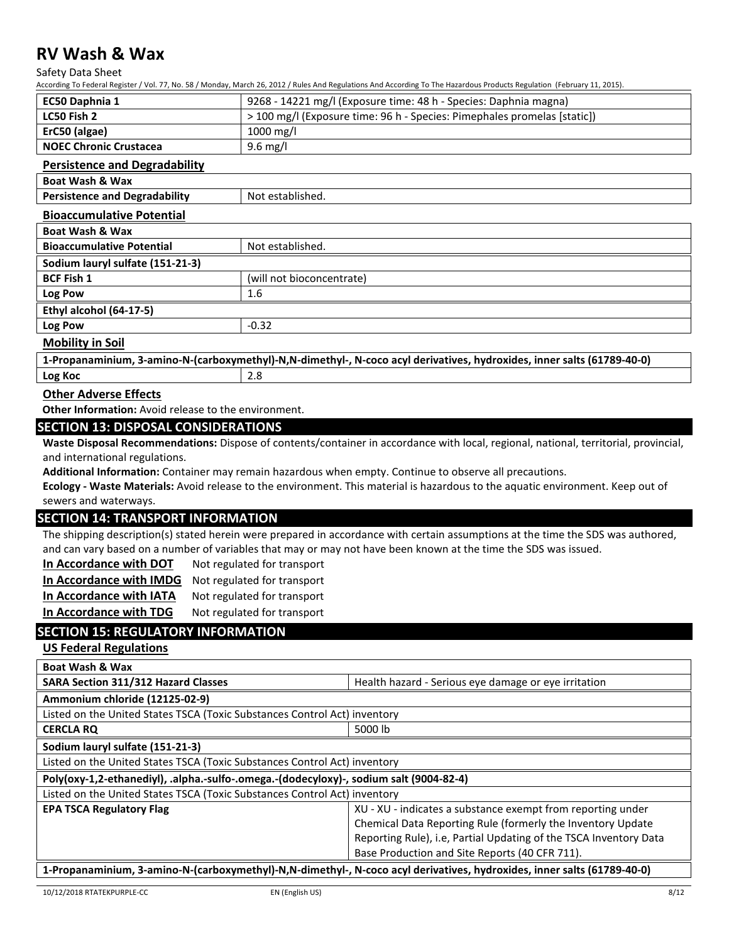Safety Data Sheet

According To Federal Register / Vol. 77, No. 58 / Monday, March 26, 2012 / Rules And Regulations And According To The Hazardous Products Regulation (February 11, 2015).

| EC50 Daphnia 1                | 9268 - 14221 mg/l (Exposure time: 48 h - Species: Daphnia magna)         |
|-------------------------------|--------------------------------------------------------------------------|
| <b>LC50 Fish 2</b>            | > 100 mg/l (Exposure time: 96 h - Species: Pimephales promelas [static]) |
| ErC50 (algae)                 | $1000 \,\mathrm{mg/l}$                                                   |
| <b>NOEC Chronic Crustacea</b> | 9.6 mg/l                                                                 |

#### **Persistence and Degradability**

| <b>Boat Wash &amp; Wax</b>           |                           |
|--------------------------------------|---------------------------|
| <b>Persistence and Degradability</b> | Not established.          |
| <b>Bioaccumulative Potential</b>     |                           |
| Boat Wash & Wax                      |                           |
| <b>Bioaccumulative Potential</b>     | Not established.          |
| Sodium lauryl sulfate (151-21-3)     |                           |
| <b>BCF Fish 1</b>                    | (will not bioconcentrate) |
| Log Pow                              | 1.6                       |
| Ethyl alcohol (64-17-5)              |                           |
| Log Pow                              | $-0.32$                   |
| Mobility in Soil                     |                           |

#### **Mobility in Soil**

 **1-Propanaminium, 3-amino-N-(carboxymethyl)-N,N-dimethyl-, N-coco acyl derivatives, hydroxides, inner salts (61789-40-0) Log Koc** 2.8

#### **Other Adverse Effects**

**Other Information:** Avoid release to the environment.

### **SECTION 13: DISPOSAL CONSIDERATIONS**

 **Waste Disposal Recommendations:** Dispose of contents/container in accordance with local, regional, national, territorial, provincial, and international regulations.

**Additional Information:** Container may remain hazardous when empty. Continue to observe all precautions.

 **Ecology - Waste Materials:** Avoid release to the environment. This material is hazardous to the aquatic environment. Keep out of sewers and waterways.

### **SECTION 14: TRANSPORT INFORMATION**

 The shipping description(s) stated herein were prepared in accordance with certain assumptions at the time the SDS was authored, and can vary based on a number of variables that may or may not have been known at the time the SDS was issued.

| In Accordance with DOT | Not regulated for transport |
|------------------------|-----------------------------|
|                        |                             |

In Accordance with IMDG Not regulated for transport

In Accordance with IATA Not regulated for transport

**In Accordance with TDG** Not regulated for transport

### **SECTION 15: REGULATORY INFORMATION**

### **US Federal Regulations**

| <b>Boat Wash &amp; Wax</b>                                                                                              |                                                                   |  |  |  |
|-------------------------------------------------------------------------------------------------------------------------|-------------------------------------------------------------------|--|--|--|
| <b>SARA Section 311/312 Hazard Classes</b>                                                                              | Health hazard - Serious eye damage or eye irritation              |  |  |  |
| Ammonium chloride (12125-02-9)                                                                                          |                                                                   |  |  |  |
| Listed on the United States TSCA (Toxic Substances Control Act) inventory                                               |                                                                   |  |  |  |
| <b>CERCLA RO</b>                                                                                                        | 5000 lb                                                           |  |  |  |
| Sodium lauryl sulfate (151-21-3)                                                                                        |                                                                   |  |  |  |
| Listed on the United States TSCA (Toxic Substances Control Act) inventory                                               |                                                                   |  |  |  |
| Poly(oxy-1,2-ethanediyl), .alpha.-sulfo-.omega.-(dodecyloxy)-, sodium salt (9004-82-4)                                  |                                                                   |  |  |  |
| Listed on the United States TSCA (Toxic Substances Control Act) inventory                                               |                                                                   |  |  |  |
| <b>EPA TSCA Regulatory Flag</b>                                                                                         | XU - XU - indicates a substance exempt from reporting under       |  |  |  |
|                                                                                                                         | Chemical Data Reporting Rule (formerly the Inventory Update       |  |  |  |
|                                                                                                                         | Reporting Rule), i.e, Partial Updating of the TSCA Inventory Data |  |  |  |
|                                                                                                                         | Base Production and Site Reports (40 CFR 711).                    |  |  |  |
| 1-Propanaminium, 3-amino-N-(carboxymethyl)-N,N-dimethyl-, N-coco acyl derivatives, hydroxides, inner salts (61789-40-0) |                                                                   |  |  |  |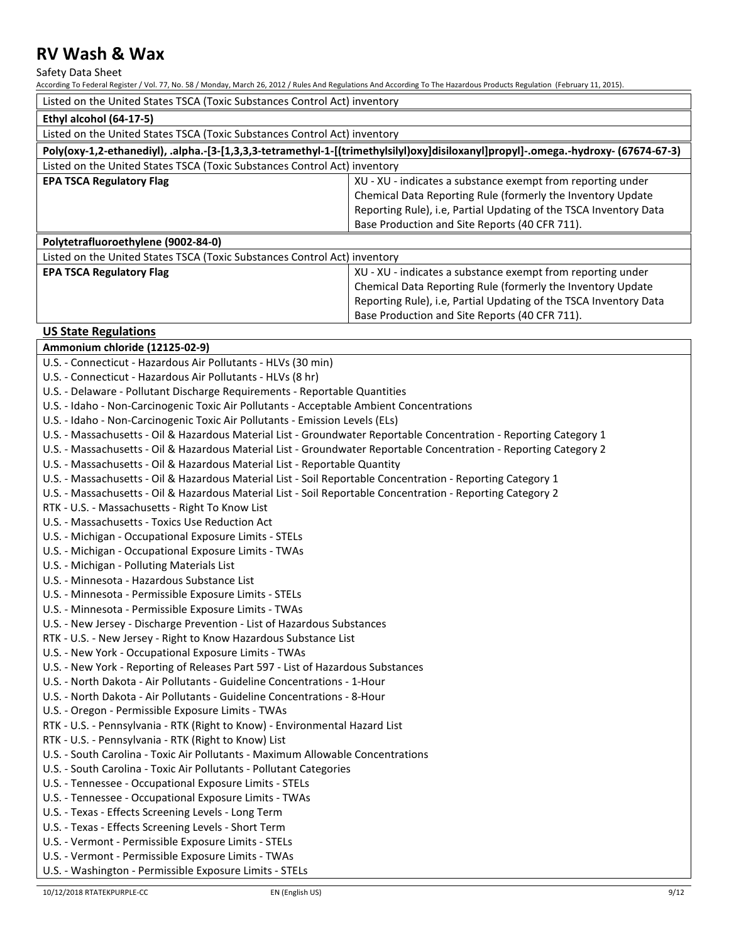Safety Data Sheet

According To Federal Register / Vol. 77, No. 58 / Monday, March 26, 2012 / Rules And Regulations And According To The Hazardous Products Regulation (February 11, 2015).

Listed on the United States TSCA (Toxic Substances Control Act) inventory

| Listed on the United States TSCA (Toxic Substances Control Act) inventory                                          |                                                                                                                                    |  |  |  |
|--------------------------------------------------------------------------------------------------------------------|------------------------------------------------------------------------------------------------------------------------------------|--|--|--|
| Ethyl alcohol (64-17-5)                                                                                            |                                                                                                                                    |  |  |  |
| Listed on the United States TSCA (Toxic Substances Control Act) inventory                                          |                                                                                                                                    |  |  |  |
|                                                                                                                    | Poly(oxy-1,2-ethanediyl), .alpha.-[3-[1,3,3,3-tetramethyl-1-[(trimethylsilyl)oxy]disiloxanyl]propyl]-.omega.-hydroxy- (67674-67-3) |  |  |  |
| Listed on the United States TSCA (Toxic Substances Control Act) inventory                                          |                                                                                                                                    |  |  |  |
| <b>EPA TSCA Regulatory Flag</b>                                                                                    | XU - XU - indicates a substance exempt from reporting under                                                                        |  |  |  |
|                                                                                                                    | Chemical Data Reporting Rule (formerly the Inventory Update                                                                        |  |  |  |
|                                                                                                                    | Reporting Rule), i.e, Partial Updating of the TSCA Inventory Data                                                                  |  |  |  |
|                                                                                                                    | Base Production and Site Reports (40 CFR 711).                                                                                     |  |  |  |
| Polytetrafluoroethylene (9002-84-0)                                                                                |                                                                                                                                    |  |  |  |
| Listed on the United States TSCA (Toxic Substances Control Act) inventory                                          |                                                                                                                                    |  |  |  |
| <b>EPA TSCA Regulatory Flag</b>                                                                                    | XU - XU - indicates a substance exempt from reporting under                                                                        |  |  |  |
|                                                                                                                    | Chemical Data Reporting Rule (formerly the Inventory Update                                                                        |  |  |  |
|                                                                                                                    | Reporting Rule), i.e, Partial Updating of the TSCA Inventory Data                                                                  |  |  |  |
|                                                                                                                    | Base Production and Site Reports (40 CFR 711).                                                                                     |  |  |  |
| <b>US State Regulations</b>                                                                                        |                                                                                                                                    |  |  |  |
| Ammonium chloride (12125-02-9)                                                                                     |                                                                                                                                    |  |  |  |
| U.S. - Connecticut - Hazardous Air Pollutants - HLVs (30 min)                                                      |                                                                                                                                    |  |  |  |
| U.S. - Connecticut - Hazardous Air Pollutants - HLVs (8 hr)                                                        |                                                                                                                                    |  |  |  |
| U.S. - Delaware - Pollutant Discharge Requirements - Reportable Quantities                                         |                                                                                                                                    |  |  |  |
| U.S. - Idaho - Non-Carcinogenic Toxic Air Pollutants - Acceptable Ambient Concentrations                           |                                                                                                                                    |  |  |  |
| U.S. - Idaho - Non-Carcinogenic Toxic Air Pollutants - Emission Levels (ELs)                                       |                                                                                                                                    |  |  |  |
| U.S. - Massachusetts - Oil & Hazardous Material List - Groundwater Reportable Concentration - Reporting Category 1 |                                                                                                                                    |  |  |  |
| U.S. - Massachusetts - Oil & Hazardous Material List - Groundwater Reportable Concentration - Reporting Category 2 |                                                                                                                                    |  |  |  |
| U.S. - Massachusetts - Oil & Hazardous Material List - Reportable Quantity                                         |                                                                                                                                    |  |  |  |
| U.S. - Massachusetts - Oil & Hazardous Material List - Soil Reportable Concentration - Reporting Category 1        |                                                                                                                                    |  |  |  |
| U.S. - Massachusetts - Oil & Hazardous Material List - Soil Reportable Concentration - Reporting Category 2        |                                                                                                                                    |  |  |  |
| RTK - U.S. - Massachusetts - Right To Know List                                                                    |                                                                                                                                    |  |  |  |
| U.S. - Massachusetts - Toxics Use Reduction Act                                                                    |                                                                                                                                    |  |  |  |
| U.S. - Michigan - Occupational Exposure Limits - STELs                                                             |                                                                                                                                    |  |  |  |
| U.S. - Michigan - Occupational Exposure Limits - TWAs                                                              |                                                                                                                                    |  |  |  |
| U.S. - Michigan - Polluting Materials List                                                                         |                                                                                                                                    |  |  |  |
| U.S. - Minnesota - Hazardous Substance List                                                                        |                                                                                                                                    |  |  |  |
| U.S. - Minnesota - Permissible Exposure Limits - STELs                                                             |                                                                                                                                    |  |  |  |
| U.S. - Minnesota - Permissible Exposure Limits - TWAs                                                              |                                                                                                                                    |  |  |  |
| U.S. - New Jersey - Discharge Prevention - List of Hazardous Substances                                            |                                                                                                                                    |  |  |  |
| RTK - U.S. - New Jersey - Right to Know Hazardous Substance List                                                   |                                                                                                                                    |  |  |  |
| U.S. - New York - Occupational Exposure Limits - TWAs                                                              |                                                                                                                                    |  |  |  |
| U.S. - New York - Reporting of Releases Part 597 - List of Hazardous Substances                                    |                                                                                                                                    |  |  |  |
| U.S. - North Dakota - Air Pollutants - Guideline Concentrations - 1-Hour                                           |                                                                                                                                    |  |  |  |
| U.S. - North Dakota - Air Pollutants - Guideline Concentrations - 8-Hour                                           |                                                                                                                                    |  |  |  |
| U.S. - Oregon - Permissible Exposure Limits - TWAs                                                                 |                                                                                                                                    |  |  |  |
| RTK - U.S. - Pennsylvania - RTK (Right to Know) - Environmental Hazard List                                        |                                                                                                                                    |  |  |  |
| RTK - U.S. - Pennsylvania - RTK (Right to Know) List                                                               |                                                                                                                                    |  |  |  |
| U.S. - South Carolina - Toxic Air Pollutants - Maximum Allowable Concentrations                                    |                                                                                                                                    |  |  |  |
| U.S. - South Carolina - Toxic Air Pollutants - Pollutant Categories                                                |                                                                                                                                    |  |  |  |
| U.S. - Tennessee - Occupational Exposure Limits - STELs                                                            |                                                                                                                                    |  |  |  |
| U.S. - Tennessee - Occupational Exposure Limits - TWAs<br>U.S. - Texas - Effects Screening Levels - Long Term      |                                                                                                                                    |  |  |  |
| U.S. - Texas - Effects Screening Levels - Short Term                                                               |                                                                                                                                    |  |  |  |
| U.S. - Vermont - Permissible Exposure Limits - STELs                                                               |                                                                                                                                    |  |  |  |
| U.S. - Vermont - Permissible Exposure Limits - TWAs                                                                |                                                                                                                                    |  |  |  |
| U.S. - Washington - Permissible Exposure Limits - STELs                                                            |                                                                                                                                    |  |  |  |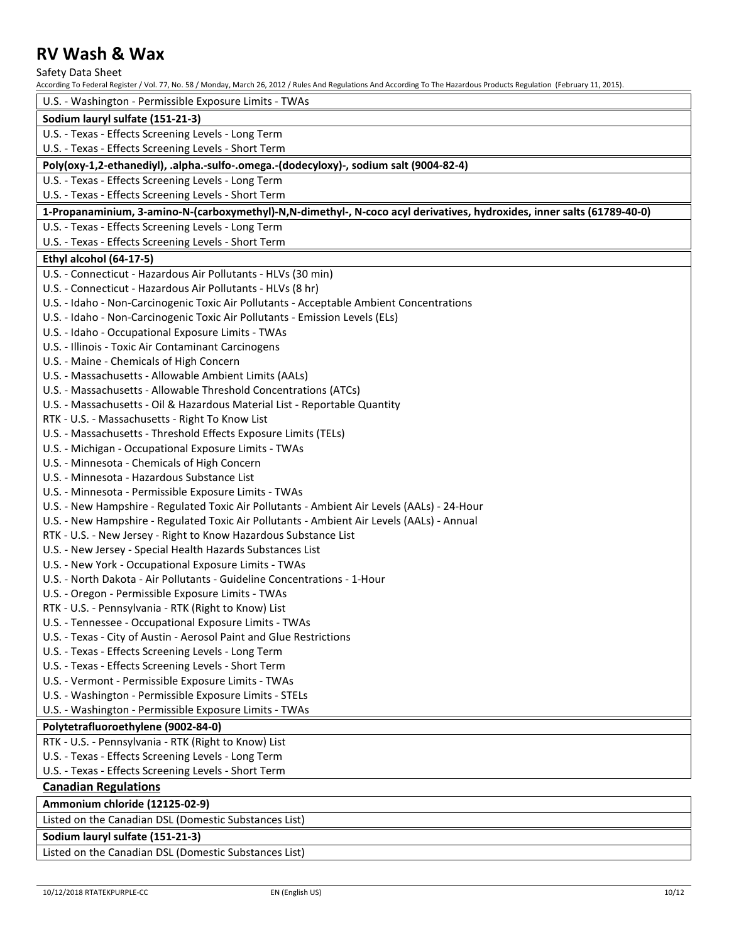Safety Data Sheet

According To Federal Register / Vol. 77, No. 58 / Monday, March 26, 2012 / Rules And Regulations And According To The Hazardous Products Regulation (February 11, 2015).

U.S. - Washington - Permissible Exposure Limits - TWAs

#### **Sodium lauryl sulfate (151-21-3)**

U.S. - Texas - Effects Screening Levels - Long Term

U.S. - Texas - Effects Screening Levels - Short Term

#### **Poly(oxy-1,2-ethanediyl), .alpha.-sulfo-.omega.-(dodecyloxy)-, sodium salt (9004-82-4)**

U.S. - Texas - Effects Screening Levels - Long Term

U.S. - Texas - Effects Screening Levels - Short Term

 **1-Propanaminium, 3-amino-N-(carboxymethyl)-N,N-dimethyl-, N-coco acyl derivatives, hydroxides, inner salts (61789-40-0)** 

U.S. - Texas - Effects Screening Levels - Long Term

U.S. - Texas - Effects Screening Levels - Short Term

#### **Ethyl alcohol (64-17-5)**

U.S. - Connecticut - Hazardous Air Pollutants - HLVs (30 min)

U.S. - Connecticut - Hazardous Air Pollutants - HLVs (8 hr)

U.S. - Idaho - Non-Carcinogenic Toxic Air Pollutants - Acceptable Ambient Concentrations

U.S. - Idaho - Non-Carcinogenic Toxic Air Pollutants - Emission Levels (ELs)

- U.S. Idaho Occupational Exposure Limits TWAs
- U.S. Illinois Toxic Air Contaminant Carcinogens
- U.S. Maine Chemicals of High Concern

U.S. - Massachusetts - Allowable Ambient Limits (AALs)

- U.S. Massachusetts Allowable Threshold Concentrations (ATCs)
- U.S. Massachusetts Oil & Hazardous Material List Reportable Quantity

RTK - U.S. - Massachusetts - Right To Know List

U.S. - Massachusetts - Threshold Effects Exposure Limits (TELs)

- U.S. Michigan Occupational Exposure Limits TWAs
- U.S. Minnesota Chemicals of High Concern

U.S. - Minnesota - Hazardous Substance List

U.S. - Minnesota - Permissible Exposure Limits - TWAs

U.S. - New Hampshire - Regulated Toxic Air Pollutants - Ambient Air Levels (AALs) - 24-Hour

U.S. - New Hampshire - Regulated Toxic Air Pollutants - Ambient Air Levels (AALs) - Annual

RTK - U.S. - New Jersey - Right to Know Hazardous Substance List

U.S. - New Jersey - Special Health Hazards Substances List

- U.S. New York Occupational Exposure Limits TWAs
- U.S. North Dakota Air Pollutants Guideline Concentrations 1-Hour
- U.S. Oregon Permissible Exposure Limits TWAs
- RTK U.S. Pennsylvania RTK (Right to Know) List
- U.S. Tennessee Occupational Exposure Limits TWAs
- U.S. Texas City of Austin Aerosol Paint and Glue Restrictions
- U.S. Texas Effects Screening Levels Long Term
- U.S. Texas Effects Screening Levels Short Term
- U.S. Vermont Permissible Exposure Limits TWAs
- U.S. Washington Permissible Exposure Limits STELs
- U.S. Washington Permissible Exposure Limits TWAs

- **Polytetrafluoroethylene (9002-84-0)**
- RTK U.S. Pennsylvania RTK (Right to Know) List
- U.S. Texas Effects Screening Levels Long Term
- U.S. Texas Effects Screening Levels Short Term

### **Canadian Regulations**

### **Ammonium chloride (12125-02-9)**

Listed on the Canadian DSL (Domestic Substances List)

#### **Sodium lauryl sulfate (151-21-3)**

Listed on the Canadian DSL (Domestic Substances List)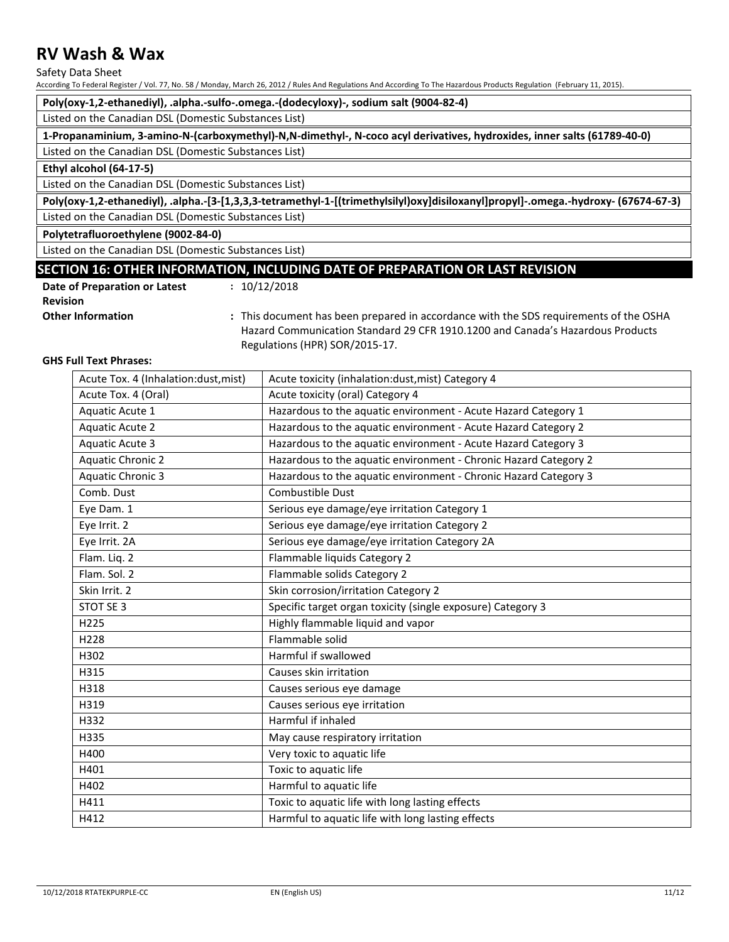Safety Data Sheet

According To Federal Register / Vol. 77, No. 58 / Monday, March 26, 2012 / Rules And Regulations And According To The Hazardous Products Regulation (February 11, 2015).

 **Poly(oxy-1,2-ethanediyl), .alpha.-sulfo-.omega.-(dodecyloxy)-, sodium salt (9004-82-4)** 

Listed on the Canadian DSL (Domestic Substances List)

 **1-Propanaminium, 3-amino-N-(carboxymethyl)-N,N-dimethyl-, N-coco acyl derivatives, hydroxides, inner salts (61789-40-0)** 

Listed on the Canadian DSL (Domestic Substances List)

### **Ethyl alcohol (64-17-5)**

Listed on the Canadian DSL (Domestic Substances List)

**Poly(oxy-1,2-ethanediyl), .alpha.-[3-[1,3,3,3-tetramethyl-1-[(trimethylsilyl)oxy]disiloxanyl]propyl]-.omega.-hydroxy- (67674-67-3)** 

Listed on the Canadian DSL (Domestic Substances List)

 **Polytetrafluoroethylene (9002-84-0)** 

Listed on the Canadian DSL (Domestic Substances List)

### **SECTION 16: OTHER INFORMATION, INCLUDING DATE OF PREPARATION OR LAST REVISION**

| Date of Preparation or Latest | : 10/12/2018    |
|-------------------------------|-----------------|
| <b>Revision</b>               |                 |
| <b>Other Information</b>      | $:$ This docume |

 **Other Information :** This document has been prepared in accordance with the SDS requirements of the OSHA Hazard Communication Standard 29 CFR 1910.1200 and Canada's Hazardous Products Regulations (HPR) SOR/2015-17.

#### **GHS Full Text Phrases:**

| Acute Tox. 4 (Inhalation:dust, mist) | Acute toxicity (inhalation:dust, mist) Category 4                |
|--------------------------------------|------------------------------------------------------------------|
| Acute Tox. 4 (Oral)                  | Acute toxicity (oral) Category 4                                 |
| Aquatic Acute 1                      | Hazardous to the aquatic environment - Acute Hazard Category 1   |
| <b>Aquatic Acute 2</b>               | Hazardous to the aquatic environment - Acute Hazard Category 2   |
| <b>Aquatic Acute 3</b>               | Hazardous to the aquatic environment - Acute Hazard Category 3   |
| <b>Aquatic Chronic 2</b>             | Hazardous to the aquatic environment - Chronic Hazard Category 2 |
| <b>Aquatic Chronic 3</b>             | Hazardous to the aquatic environment - Chronic Hazard Category 3 |
| Comb. Dust                           | <b>Combustible Dust</b>                                          |
| Eye Dam. 1                           | Serious eye damage/eye irritation Category 1                     |
| Eye Irrit. 2                         | Serious eye damage/eye irritation Category 2                     |
| Eye Irrit. 2A                        | Serious eye damage/eye irritation Category 2A                    |
| Flam. Liq. 2                         | Flammable liquids Category 2                                     |
| Flam. Sol. 2                         | Flammable solids Category 2                                      |
| Skin Irrit. 2                        | Skin corrosion/irritation Category 2                             |
| STOT SE 3                            | Specific target organ toxicity (single exposure) Category 3      |
| H225                                 | Highly flammable liquid and vapor                                |
| H228                                 | Flammable solid                                                  |
| H302                                 | Harmful if swallowed                                             |
| H315                                 | Causes skin irritation                                           |
| H318                                 | Causes serious eye damage                                        |
| H319                                 | Causes serious eye irritation                                    |
| H332                                 | Harmful if inhaled                                               |
| H335                                 | May cause respiratory irritation                                 |
| H400                                 | Very toxic to aquatic life                                       |
| H401                                 | Toxic to aquatic life                                            |
| H402                                 | Harmful to aquatic life                                          |
| H411                                 | Toxic to aquatic life with long lasting effects                  |
| H412                                 | Harmful to aquatic life with long lasting effects                |